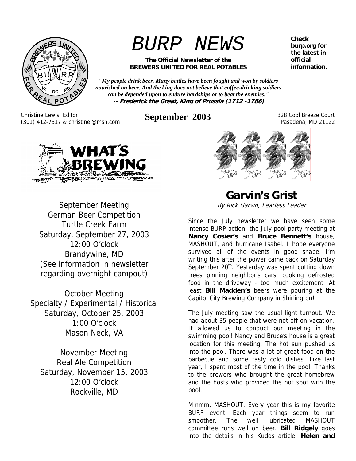

*BURP NEWS*

#### **The Official Newsletter of the BREWERS UNITED FOR REAL POTABLES**

*"My people drink beer. Many battles have been fought and won by soldiers nourished on beer. And the king does not believe that coffee-drinking soldiers can be depended upon to endure hardships or to beat the enemies."*  **-- Frederick the Great, King of Prussia (1712 -1786)**

Christine Lewis, Editor (301) 412-7317 & christinel@msn.com **September 2003** 328 Cool Breeze Court

Pasadena, MD 21122



September Meeting German Beer Competition Turtle Creek Farm Saturday, September 27, 2003 12:00 O'clock Brandywine, MD (See information in newsletter regarding overnight campout)

October Meeting Specialty / Experimental / Historical Saturday, October 25, 2003 1:00 O'clock Mason Neck, VA

November Meeting Real Ale Competition Saturday, November 15, 2003 12:00 O'clock Rockville, MD

**Garvin's Grist** 

By Rick Garvin, Fearless Leader

Since the July newsletter we have seen some intense BURP action: the July pool party meeting at **Nancy Cosier's** and **Bruce Bennett's** house, MASHOUT, and hurricane Isabel. I hope everyone survived all of the events in good shape. I'm writing this after the power came back on Saturday September  $20<sup>th</sup>$ . Yesterday was spent cutting down trees pinning neighbor's cars, cooking defrosted food in the driveway - too much excitement. At least **Bill Madden's** beers were pouring at the Capitol City Brewing Company in Shirlington!

The July meeting saw the usual light turnout. We had about 35 people that were not off on vacation. It allowed us to conduct our meeting in the swimming pool! Nancy and Bruce's house is a great location for this meeting. The hot sun pushed us into the pool. There was a lot of great food on the barbecue and some tasty cold dishes. Like last year, I spent most of the time in the pool. Thanks to the brewers who brought the great homebrew and the hosts who provided the hot spot with the pool.

Mmmm, MASHOUT. Every year this is my favorite BURP event. Each year things seem to run smoother. The well lubricated MASHOUT committee runs well on beer. **Bill Ridgely** goes into the details in his Kudos article. **Helen and** 

**Check burp.org for the latest in official information.**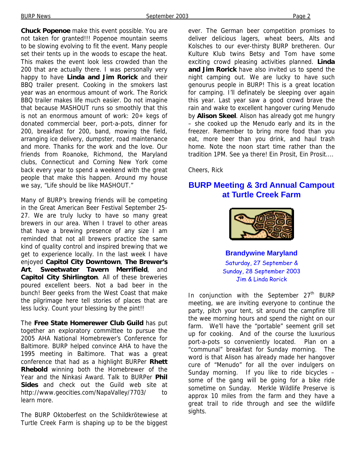**Chuck Popenoe** make this event possible. You are not taken for granted!!! Popenoe mountain seems to be slowing evolving to fit the event. Many people set their tents up in the woods to escape the heat. This makes the event look less crowded than the 200 that are actually there. I was personally very happy to have **Linda and Jim Rorick** and their BBQ trailer present. Cooking in the smokers last year was an enormous amount of work. The Rorick BBQ trailer makes life much easier. Do not imagine that because MASHOUT runs so smoothly that this is not an enormous amount of work: 20+ kegs of donated commercial beer, port-a-pots, dinner for 200, breakfast for 200, band, mowing the field, arranging ice delivery, dumpster, road maintenance and more. Thanks for the work and the love. Our friends from Roanoke, Richmond, the Maryland clubs, Connecticut and Corning New York come back every year to spend a weekend with the great people that make this happen. Around my house we say, "Life should be like MASHOUT."

Many of BURP's brewing friends will be competing in the Great American Beer Festival September 25- 27. We are truly lucky to have so many great brewers in our area. When I travel to other areas that have a brewing presence of any size I am reminded that not all brewers practice the same kind of quality control and inspired brewing that we get to experience locally. In the last week I have enjoyed **Capitol City Downtown**, **The Brewer's Art**, **Sweetwater Tavern Merrifield**, and **Capitol City Shirlington**. All of these breweries poured excellent beers. Not a bad beer in the bunch! Beer geeks from the West Coast that make the pilgrimage here tell stories of places that are less lucky. Count your blessing by the pint!!

The **Free State Homerewer Club Guild** has put together an exploratory committee to pursue the 2005 AHA National Homebrewer's Conference for Baltimore. BURP helped convince AHA to have the 1995 meeting in Baltimore. That was a great conference that had as a highlight BURPer **Rhett Rhebold** winning both the Homebrewer of the Year and the Ninkasi Award. Talk to BURPer **Phil Sides** and check out the Guild web site at http://www.geocities.com/NapaValley/7703/ to learn more.

The BURP Oktoberfest on the Schildkrötewiese at Turtle Creek Farm is shaping up to be the biggest ever. The German beer competition promises to deliver delicious lagers, wheat beers, Alts and Kolsches to our ever-thirsty BURP bretheren. Our Kulture Klub twins Betsy and Tom have some exciting crowd pleasing activities planned. **Linda and Jim Rorick** have also invited us to spend the night camping out. We are lucky to have such genourus people in BURP! This is a great location for camping. I'll definately be sleeping over again this year. Last year saw a good crowd brave the rain and wake to excellent hangover curing Menudo by **Alison Skeel**. Alison has already got me hungry – she cooked up the Menudo early and its in the freezer. Remember to bring more food than you eat, more beer than you drink, and haul trash home. Note the noon start time rather than the tradition 1PM. See ya there! Ein Prosit, Ein Prosit....

Cheers, Rick

### **BURP Meeting & 3rd Annual Campout at Turtle Creek Farm**



**Brandywine Maryland**  Saturday, 27 September & Sunday, 28 September 2003 Jim & Linda Rorick

In conjunction with the September  $27<sup>th</sup>$  BURP meeting, we are inviting everyone to continue the party, pitch your tent, sit around the campfire till the wee morning hours and spend the night on our farm. We'll have the "portable" seement grill set up for cooking. And of the course the luxurious port-a-pots so conveniently located. Plan on a "communal" breakfast for Sunday morning. The word is that Alison has already made her hangover cure of "Menudo" for all the over indulgers on Sunday morning. If you like to ride bicycles – some of the gang will be going for a bike ride sometime on Sunday. Merkle Wildlife Preserve is approx 10 miles from the farm and they have a great trail to ride through and see the wildlife sights.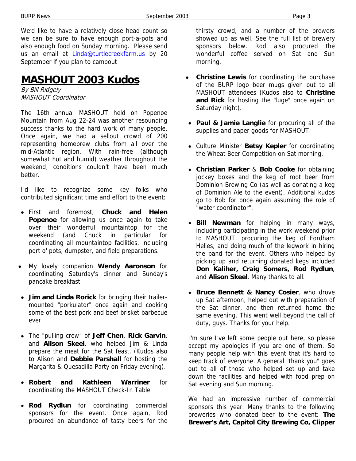We'd like to have a relatively close head count so we can be sure to have enough port-a-pots and also enough food on Sunday morning. Please send us an email at Linda@turtlecreekfarm.us by 20 September if you plan to campout

# **MASHOUT 2003 Kudos**

By Bill Ridgely MASHOUT Coordinator

The 16th annual MASHOUT held on Popenoe Mountain from Aug 22-24 was another resounding success thanks to the hard work of many people. Once again, we had a sellout crowd of 200 representing homebrew clubs from all over the mid-Atlantic region. With rain-free (although somewhat hot and humid) weather throughout the weekend, conditions couldn't have been much better.

I'd like to recognize some key folks who contributed significant time and effort to the event:

- First and foremost, **Chuck and Helen Popenoe** for allowing us once again to take over their wonderful mountaintop for the weekend (and Chuck in particular for coordinating all mountaintop facilities, including port o' pots, dumpster, and field preparations.
- My lovely companion **Wendy Aaronson** for coordinating Saturday's dinner and Sunday's pancake breakfast
- **Jim and Linda Rorick** for bringing their trailermounted "porkulator" once again and cooking some of the best pork and beef brisket barbecue ever
- The "pulling crew" of **Jeff Chen**, **Rick Garvin**, and **Alison Skeel**, who helped Jim & Linda prepare the meat for the Sat feast. (Kudos also to Alison and **Debbie Parshall** for hosting the Margarita & Quesadilla Party on Friday evening).
- **Robert and Kathleen Warriner** for coordinating the MASHOUT Check-In Table
- **Rod Rydlun** for coordinating commercial sponsors for the event. Once again, Rod procured an abundance of tasty beers for the

thirsty crowd, and a number of the brewers showed up as well. See the full list of brewery sponsors below. Rod also procured the wonderful coffee served on Sat and Sun morning.

- **Christine Lewis** for coordinating the purchase of the BURP logo beer mugs given out to all MASHOUT attendees (Kudos also to **Christine and Rick** for hosting the "luge" once again on Saturday night).
- **Paul & Jamie Langlie** for procuring all of the supplies and paper goods for MASHOUT.
- Culture Minister **Betsy Kepler** for coordinating the Wheat Beer Competition on Sat morning.
- **Christian Parker** & **Bob Cooke** for obtaining jockey boxes and the keg of root beer from Dominion Brewing Co (as well as donating a keg of Dominion Ale to the event). Additional kudos go to Bob for once again assuming the role of "water coordinator".
- **Bill Newman** for helping in many ways, including participating in the work weekend prior to MASHOUT, procuring the keg of Fordham Helles, and doing much of the legwork in hiring the band for the event. Others who helped by picking up and returning donated kegs included **Don Kaliher, Craig Somers, Rod Rydlun**, and **Alison Skeel**. Many thanks to all.
- **Bruce Bennett & Nancy Cosier**, who drove up Sat afternoon, helped out with preparation of the Sat dinner, and then returned home the same evening. This went well beyond the call of duty, guys. Thanks for your help.

I'm sure I've left some people out here, so please accept my apologies if you are one of them. So many people help with this event that it's hard to keep track of everyone. A general "thank you" goes out to all of those who helped set up and take down the facilities and helped with food prep on Sat evening and Sun morning.

We had an impressive number of commercial sponsors this year. Many thanks to the following breweries who donated beer to the event: **The Brewer's Art, Capitol City Brewing Co, Clipper**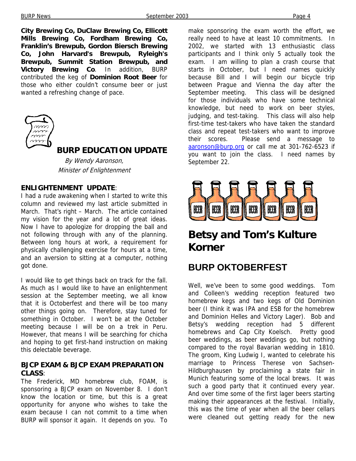**City Brewing Co, DuClaw Brewing Co, Ellicott Mills Brewing Co, Fordham Brewing Co, Franklin's Brewpub, Gordon Biersch Brewing Co, John Harvard's Brewpub, Ryleigh's Brewpub, Summit Station Brewpub, and Victory Brewing Co**. In addition, BURP contributed the keg of **Dominion Root Beer** for those who either couldn't consume beer or just wanted a refreshing change of pace.



## **BURP EDUCATION UPDATE**

By Wendy Aaronson, Minister of Enlightenment

#### **ENLIGHTENMENT UPDATE**:

I had a rude awakening when I started to write this column and reviewed my last article submitted in March. That's right – March. The article contained my vision for the year and a lot of great ideas. Now I have to apologize for dropping the ball and not following through with any of the planning. Between long hours at work, a requirement for physically challenging exercise for hours at a time, and an aversion to sitting at a computer, nothing got done.

I would like to get things back on track for the fall. As much as I would like to have an enlightenment session at the September meeting, we all know that it is Octoberfest and there will be too many other things going on. Therefore, stay tuned for something in October. I won't be at the October meeting because I will be on a trek in Peru. However, that means I will be searching for chicha and hoping to get first-hand instruction on making this delectable beverage.

### **BJCP EXAM & BJCP EXAM PREPARATION CLASS**:

The Frederick, MD homebrew club, FOAM, is sponsoring a BJCP exam on November 8. I don't know the location or time, but this is a great opportunity for anyone who wishes to take the exam because I can not commit to a time when BURP will sponsor it again. It depends on you. To

make sponsoring the exam worth the effort, we really need to have at least 10 commitments. In 2002, we started with 13 enthusiastic class participants and I think only 5 actually took the exam. I am willing to plan a crash course that starts in October, but I need names quickly because Bill and I will begin our bicycle trip between Prague and Vienna the day after the September meeting. This class will be designed for those individuals who have some technical knowledge, but need to work on beer styles, judging, and test-taking. This class will also help first-time test-takers who have taken the standard class and repeat test-takers who want to improve their scores. Please send a message to aaronson@burp.org or call me at 301-762-6523 if you want to join the class. I need names by September 22.



# **Betsy and Tom's Kulture Korner**

# **BURP OKTOBERFEST**

Well, we've been to some good weddings. Tom and Colleen's wedding reception featured two homebrew kegs and two kegs of Old Dominion beer (I think it was IPA and ESB for the homebrew and Dominion Helles and Victory Lager). Bob and Betsy's wedding reception had 5 different homebrews and Cap City Koelsch. Pretty good beer weddings, as beer weddings go, but nothing compared to the royal Bavarian wedding in 1810. The groom, King Ludwig I, wanted to celebrate his marriage to Princess Therese von Sachsen-Hildburghausen by proclaiming a state fair in Munich featuring some of the local brews. It was such a good party that it continued every year. And over time some of the first lager beers starting making their appearances at the festival. Initially, this was the time of year when all the beer cellars were cleaned out getting ready for the new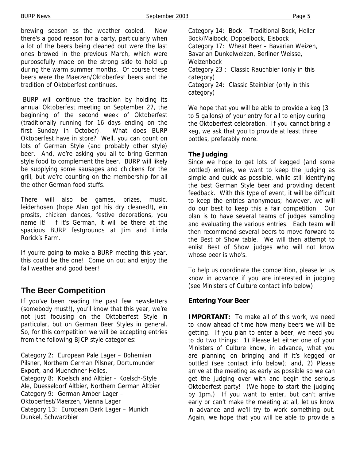brewing season as the weather cooled. Now there's a good reason for a party, particularly when a lot of the beers being cleaned out were the last ones brewed in the previous March, which were purposefully made on the strong side to hold up during the warm summer months. Of course these beers were the Maerzen/Oktoberfest beers and the tradition of Oktoberfest continues.

 BURP will continue the tradition by holding its annual Oktoberfest meeting on September 27, the beginning of the second week of Oktoberfest (traditionally running for 16 days ending on the first Sunday in October). What does BURP Oktoberfest have in store? Well, you can count on lots of German Style (and probably other style) beer. And, we're asking you all to bring German style food to complement the beer. BURP will likely be supplying some sausages and chickens for the grill, but we're counting on the membership for all the other German food stuffs.

There will also be games, prizes, music, leiderhosen (hope Alan got his dry cleaned!), ein prosits, chicken dances, festive decorations, you name it! If it's German, it will be there at the spacious BURP festgrounds at Jim and Linda Rorick's Farm.

If you're going to make a BURP meeting this year, this could be the one! Come on out and enjoy the fall weather and good beer!

## **The Beer Competition**

If you've been reading the past few newsletters (somebody must!), you'll know that this year, we're not just focusing on the Oktoberfest Style in particular, but on German Beer Styles in general. So, for this competition we will be accepting entries from the following BJCP style categories:

Category 2: European Pale Lager – Bohemian Pilsner, Northern German Pilsner, Dortumunder Export, and Muenchner Helles. Category 8: Koelsch and Altbier – Koelsch-Style Ale, Duesseldorf Altbier, Northern German Altbier Category 9: German Amber Lager – Oktoberfest/Maerzen, Vienna Lager Category 13: European Dark Lager – Munich Dunkel, Schwarzbier

Category 14: Bock – Traditional Bock, Heller Bock/Maibock, Doppelbock, Eisbock Category 17: Wheat Beer – Bavarian Weizen, Bavarian Dunkelweizen, Berliner Weisse, Weizenbock Category 23 : Classic Rauchbier (only in this category) Category 24: Classic Steinbier (only in this category)

We hope that you will be able to provide a keg (3 to 5 gallons) of your entry for all to enjoy during the Oktoberfest celebration. If you cannot bring a keg, we ask that you to provide at least three bottles, preferably more.

### **The Judging**

Since we hope to get lots of kegged (and some bottled) entries, we want to keep the judging as simple and quick as possible, while still identifying the best German Style beer and providing decent feedback. With this type of event, it will be difficult to keep the entries anonymous; however, we will do our best to keep this a fair competition. Our plan is to have several teams of judges sampling and evaluating the various entries. Each team will then recommend several beers to move forward to the Best of Show table. We will then attempt to enlist Best of Show judges who will not know whose beer is who's.

To help us coordinate the competition, please let us know in advance if you are interested in judging (see Ministers of Culture contact info below).

### **Entering Your Beer**

**IMPORTANT:** To make all of this work, we need to know ahead of time how many beers we will be getting. If you plan to enter a beer, we need you to do two things: 1) Please let either one of your Ministers of Culture know, in advance, what you are planning on bringing and if it's kegged or bottled (see contact info below); and, 2) Please arrive at the meeting as early as possible so we can get the judging over with and begin the serious Oktoberfest party! (We hope to start the judging by 1pm.) If you want to enter, but can't arrive early or can't make the meeting at all, let us know in advance and we'll try to work something out. Again, we hope that you will be able to provide a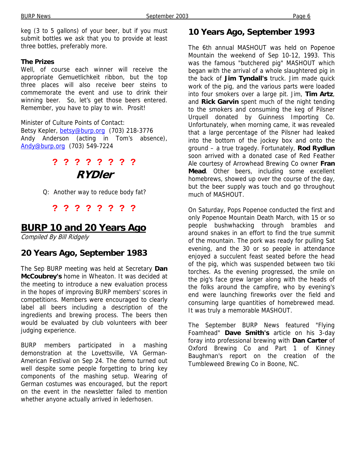keg (3 to 5 gallons) of your beer, but if you must submit bottles we ask that you to provide at least three bottles, preferably more.

#### **The Prizes**

Well, of course each winner will receive the appropriate Gemuetlichkeit ribbon, but the top three places will also receive beer steins to commemorate the event and use to drink their winning beer. So, let's get those beers entered. Remember, you have to play to win. Prosit!

Minister of Culture Points of Contact: Betsy Kepler, betsy@burp.org (703) 218-3776 Andy Anderson (acting in Tom's absence), Andy@burp.org (703) 549-7224

# **? ? ? ? ? ? ? ? RYDler**

Q: Another way to reduce body fat?

**? ? ? ? ? ? ? ?**

## **BURP 10 and 20 Years Ago**

Compiled By Bill Ridgely

## **20 Years Ago, September 1983**

The Sep BURP meeting was held at Secretary **Dan McCoubrey's** home in Wheaton. It was decided at the meeting to introduce a new evaluation process in the hopes of improving BURP members' scores in competitions. Members were encouraged to clearly label all beers including a description of the ingredients and brewing process. The beers then would be evaluated by club volunteers with beer judging experience.

BURP members participated in a mashing demonstration at the Lovettsville, VA German-American Festival on Sep 24. The demo turned out well despite some people forgetting to bring key components of the mashing setup. Wearing of German costumes was encouraged, but the report on the event in the newsletter failed to mention whether anyone actually arrived in lederhosen.

## **10 Years Ago, September 1993**

The 6th annual MASHOUT was held on Popenoe Mountain the weekend of Sep 10-12, 1993. This was the famous "butchered pig" MASHOUT which began with the arrival of a whole slaughtered pig in the back of **Jim Tyndall's** truck. Jim made quick work of the pig, and the various parts were loaded into four smokers over a large pit. Jim, **Tim Artz**, and **Rick Garvin** spent much of the night tending to the smokers and consuming the keg of Pilsner Urquell donated by Guinness Importing Co. Unfortunately, when morning came, it was revealed that a large percentage of the Pilsner had leaked into the bottom of the jockey box and onto the ground – a true tragedy. Fortunately, **Rod Rydlun** soon arrived with a donated case of Red Feather Ale courtesy of Arrowhead Brewing Co owner **Fran Mead**. Other beers, including some excellent homebrews, showed up over the course of the day, but the beer supply was touch and go throughout much of MASHOUT.

On Saturday, Pops Popenoe conducted the first and only Popenoe Mountain Death March, with 15 or so people bushwhacking through brambles and around snakes in an effort to find the true summit of the mountain. The pork was ready for pulling Sat evening, and the 30 or so people in attendance enjoyed a succulent feast seated before the head of the pig, which was suspended between two tiki torches. As the evening progressed, the smile on the pig's face grew larger along with the heads of the folks around the campfire, who by evening's end were launching fireworks over the field and consuming large quantities of homebrewed mead. It was truly a memorable MASHOUT.

The September BURP News featured "Flying Foamhead" **Dave Smith's** article on his 3-day foray into professional brewing with **Dan Carter** of Oxford Brewing Co and Part 1 of Kinney Baughman's report on the creation of the Tumbleweed Brewing Co in Boone, NC.